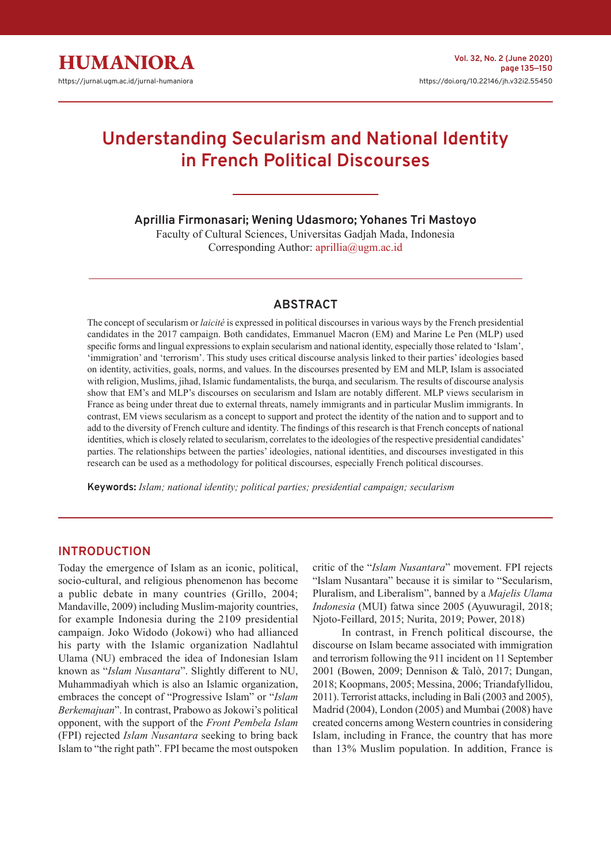# **Understanding Secularism and National Identity in French Political Discourses**

**Aprillia Firmonasari; Wening Udasmoro; Yohanes Tri Mastoyo**

Faculty of Cultural Sciences, Universitas Gadjah Mada, Indonesia Corresponding Author: aprillia@ugm.ac.id

# **ABSTRACT**

The concept of secularism or *laicité* is expressed in political discourses in various ways by the French presidential candidates in the 2017 campaign. Both candidates, Emmanuel Macron (EM) and Marine Le Pen (MLP) used specific forms and lingual expressions to explain secularism and national identity, especially those related to 'Islam', 'immigration' and 'terrorism'. This study uses critical discourse analysis linked to their parties' ideologies based on identity, activities, goals, norms, and values. In the discourses presented by EM and MLP, Islam is associated with religion, Muslims, jihad, Islamic fundamentalists, the burqa, and secularism. The results of discourse analysis show that EM's and MLP's discourses on secularism and Islam are notably different. MLP views secularism in France as being under threat due to external threats, namely immigrants and in particular Muslim immigrants. In contrast, EM views secularism as a concept to support and protect the identity of the nation and to support and to add to the diversity of French culture and identity. The findings of this research is that French concepts of national identities, which is closely related to secularism, correlates to the ideologies of the respective presidential candidates' parties. The relationships between the parties' ideologies, national identities, and discourses investigated in this research can be used as a methodology for political discourses, especially French political discourses.

**Keywords:** *Islam; national identity; political parties; presidential campaign; secularism*

#### **INTRODUCTION**

Today the emergence of Islam as an iconic, political, socio-cultural, and religious phenomenon has become a public debate in many countries (Grillo, 2004; Mandaville, 2009) including Muslim-majority countries, for example Indonesia during the 2109 presidential campaign. Joko Widodo (Jokowi) who had allianced his party with the Islamic organization Nadlahtul Ulama (NU) embraced the idea of Indonesian Islam known as "*Islam Nusantara*". Slightly different to NU, Muhammadiyah which is also an Islamic organization, embraces the concept of "Progressive Islam" or "*Islam Berkemajuan*". In contrast, Prabowo as Jokowi's political opponent, with the support of the *Front Pembela Islam* (FPI) rejected *Islam Nusantara* seeking to bring back Islam to "the right path". FPI became the most outspoken critic of the "*Islam Nusantara*" movement. FPI rejects "Islam Nusantara" because it is similar to "Secularism, Pluralism, and Liberalism", banned by a *Majelis Ulama Indonesia* (MUI) fatwa since 2005 (Ayuwuragil, 2018; Njoto-Feillard, 2015; Nurita, 2019; Power, 2018)

In contrast, in French political discourse, the discourse on Islam became associated with immigration and terrorism following the 911 incident on 11 September 2001 (Bowen, 2009; Dennison & Talò, 2017; Dungan, 2018; Koopmans, 2005; Messina, 2006; Triandafyllidou, 2011). Terrorist attacks, including in Bali (2003 and 2005), Madrid (2004), London (2005) and Mumbai (2008) have created concerns among Western countries in considering Islam, including in France, the country that has more than 13% Muslim population. In addition, France is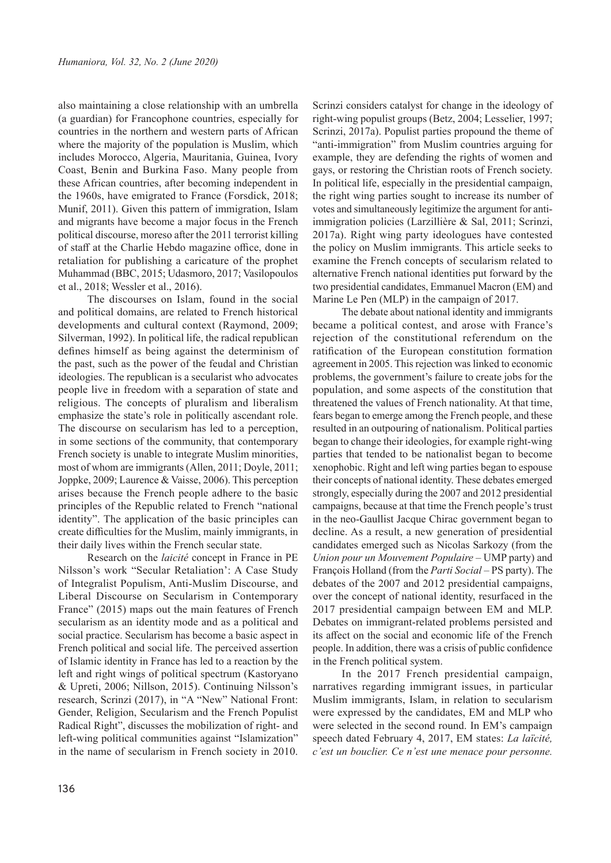also maintaining a close relationship with an umbrella (a guardian) for Francophone countries, especially for countries in the northern and western parts of African where the majority of the population is Muslim, which includes Morocco, Algeria, Mauritania, Guinea, Ivory Coast, Benin and Burkina Faso. Many people from these African countries, after becoming independent in the 1960s, have emigrated to France (Forsdick, 2018; Munif, 2011). Given this pattern of immigration, Islam and migrants have become a major focus in the French political discourse, moreso after the 2011 terrorist killing of staff at the Charlie Hebdo magazine office, done in retaliation for publishing a caricature of the prophet Muhammad (BBC, 2015; Udasmoro, 2017; Vasilopoulos et al., 2018; Wessler et al., 2016).

The discourses on Islam, found in the social and political domains, are related to French historical developments and cultural context (Raymond, 2009; Silverman, 1992). In political life, the radical republican defines himself as being against the determinism of the past, such as the power of the feudal and Christian ideologies. The republican is a secularist who advocates people live in freedom with a separation of state and religious. The concepts of pluralism and liberalism emphasize the state's role in politically ascendant role. The discourse on secularism has led to a perception, in some sections of the community, that contemporary French society is unable to integrate Muslim minorities, most of whom are immigrants (Allen, 2011; Doyle, 2011; Joppke, 2009; Laurence & Vaisse, 2006). This perception arises because the French people adhere to the basic principles of the Republic related to French "national identity". The application of the basic principles can create difficulties for the Muslim, mainly immigrants, in their daily lives within the French secular state.

Research on the *laicité* concept in France in PE Nilsson's work "Secular Retaliation': A Case Study of Integralist Populism, Anti-Muslim Discourse, and Liberal Discourse on Secularism in Contemporary France" (2015) maps out the main features of French secularism as an identity mode and as a political and social practice. Secularism has become a basic aspect in French political and social life. The perceived assertion of Islamic identity in France has led to a reaction by the left and right wings of political spectrum (Kastoryano & Upreti, 2006; Nillson, 2015). Continuing Nilsson's research, Scrinzi (2017), in "A "New" National Front: Gender, Religion, Secularism and the French Populist Radical Right", discusses the mobilization of right- and left-wing political communities against "Islamization" in the name of secularism in French society in 2010.

Scrinzi considers catalyst for change in the ideology of right-wing populist groups (Betz, 2004; Lesselier, 1997; Scrinzi, 2017a). Populist parties propound the theme of "anti-immigration" from Muslim countries arguing for example, they are defending the rights of women and gays, or restoring the Christian roots of French society. In political life, especially in the presidential campaign, the right wing parties sought to increase its number of votes and simultaneously legitimize the argument for antiimmigration policies (Larzillière & Sal, 2011; Scrinzi, 2017a). Right wing party ideologues have contested the policy on Muslim immigrants. This article seeks to examine the French concepts of secularism related to alternative French national identities put forward by the two presidential candidates, Emmanuel Macron (EM) and Marine Le Pen (MLP) in the campaign of 2017.

The debate about national identity and immigrants became a political contest, and arose with France's rejection of the constitutional referendum on the ratification of the European constitution formation agreement in 2005. This rejection was linked to economic problems, the government's failure to create jobs for the population, and some aspects of the constitution that threatened the values of French nationality. At that time, fears began to emerge among the French people, and these resulted in an outpouring of nationalism. Political parties began to change their ideologies, for example right-wing parties that tended to be nationalist began to become xenophobic. Right and left wing parties began to espouse their concepts of national identity. These debates emerged strongly, especially during the 2007 and 2012 presidential campaigns, because at that time the French people's trust in the neo-Gaullist Jacque Chirac government began to decline. As a result, a new generation of presidential candidates emerged such as Nicolas Sarkozy (from the *Union pour un Mouvement Populaire* – UMP party) and François Holland (from the *Parti Social ‒* PS party). The debates of the 2007 and 2012 presidential campaigns, over the concept of national identity, resurfaced in the 2017 presidential campaign between EM and MLP. Debates on immigrant-related problems persisted and its affect on the social and economic life of the French people. In addition, there was a crisis of public confidence in the French political system.

In the 2017 French presidential campaign, narratives regarding immigrant issues, in particular Muslim immigrants, Islam, in relation to secularism were expressed by the candidates, EM and MLP who were selected in the second round. In EM's campaign speech dated February 4, 2017, EM states: *La laïcité, c'est un bouclier. Ce n'est une menace pour personne.*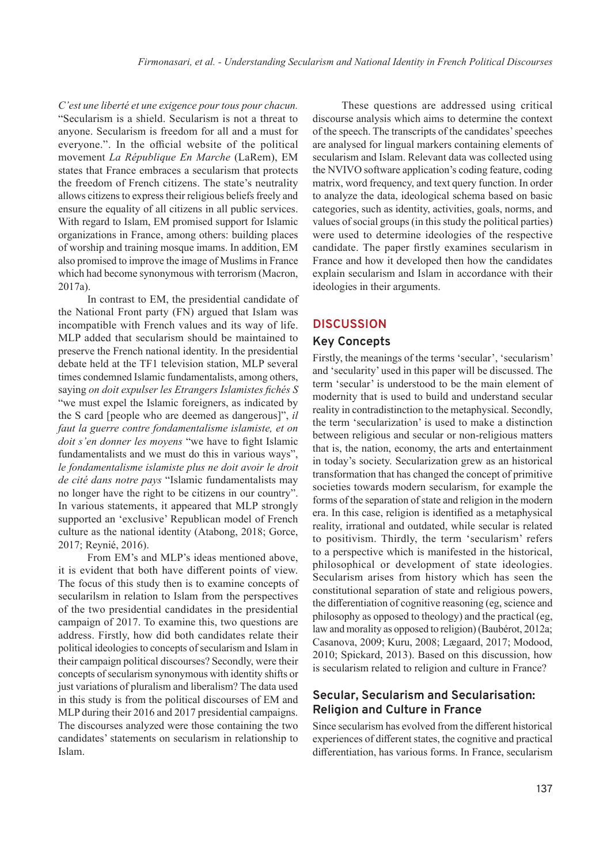*C'est une liberté et une exigence pour tous pour chacun.* "Secularism is a shield. Secularism is not a threat to anyone. Secularism is freedom for all and a must for everyone.". In the official website of the political movement *La République En Marche* (LaRem), EM states that France embraces a secularism that protects the freedom of French citizens. The state's neutrality allows citizens to express their religious beliefs freely and ensure the equality of all citizens in all public services. With regard to Islam, EM promised support for Islamic organizations in France, among others: building places of worship and training mosque imams. In addition, EM also promised to improve the image of Muslims in France which had become synonymous with terrorism (Macron, 2017a).

In contrast to EM, the presidential candidate of the National Front party (FN) argued that Islam was incompatible with French values and its way of life. MLP added that secularism should be maintained to preserve the French national identity. In the presidential debate held at the TF1 television station, MLP several times condemned Islamic fundamentalists, among others, saying *on doit expulser les Etrangers Islamistes fichés S* "we must expel the Islamic foreigners, as indicated by the S card [people who are deemed as dangerous]", *il faut la guerre contre fondamentalisme islamiste, et on doit s'en donner les moyens* "we have to fight Islamic fundamentalists and we must do this in various ways", *le fondamentalisme islamiste plus ne doit avoir le droit de cité dans notre pays* "Islamic fundamentalists may no longer have the right to be citizens in our country". In various statements, it appeared that MLP strongly supported an 'exclusive' Republican model of French culture as the national identity (Atabong, 2018; Gorce, 2017; Reynié, 2016).

From EM's and MLP's ideas mentioned above, it is evident that both have different points of view. The focus of this study then is to examine concepts of secularilsm in relation to Islam from the perspectives of the two presidential candidates in the presidential campaign of 2017. To examine this, two questions are address. Firstly, how did both candidates relate their political ideologies to concepts of secularism and Islam in their campaign political discourses? Secondly, were their concepts of secularism synonymous with identity shifts or just variations of pluralism and liberalism? The data used in this study is from the political discourses of EM and MLP during their 2016 and 2017 presidential campaigns. The discourses analyzed were those containing the two candidates' statements on secularism in relationship to Islam.

These questions are addressed using critical discourse analysis which aims to determine the context of the speech. The transcripts of the candidates' speeches are analysed for lingual markers containing elements of secularism and Islam. Relevant data was collected using the NVIVO software application's coding feature, coding matrix, word frequency, and text query function. In order to analyze the data, ideological schema based on basic categories, such as identity, activities, goals, norms, and values of social groups (in this study the political parties) were used to determine ideologies of the respective candidate. The paper firstly examines secularism in France and how it developed then how the candidates explain secularism and Islam in accordance with their ideologies in their arguments.

#### **DISCUSSION**

#### **Key Concepts**

Firstly, the meanings of the terms 'secular', 'secularism' and 'secularity' used in this paper will be discussed. The term 'secular' is understood to be the main element of modernity that is used to build and understand secular reality in contradistinction to the metaphysical. Secondly, the term 'secularization' is used to make a distinction between religious and secular or non-religious matters that is, the nation, economy, the arts and entertainment in today's society. Secularization grew as an historical transformation that has changed the concept of primitive societies towards modern secularism, for example the forms of the separation of state and religion in the modern era. In this case, religion is identified as a metaphysical reality, irrational and outdated, while secular is related to positivism. Thirdly, the term 'secularism' refers to a perspective which is manifested in the historical, philosophical or development of state ideologies. Secularism arises from history which has seen the constitutional separation of state and religious powers, the differentiation of cognitive reasoning (eg, science and philosophy as opposed to theology) and the practical (eg, law and morality as opposed to religion) (Baubérot, 2012a; Casanova, 2009; Kuru, 2008; Lægaard, 2017; Modood, 2010; Spickard, 2013). Based on this discussion, how is secularism related to religion and culture in France?

### **Secular, Secularism and Secularisation: Religion and Culture in France**

Since secularism has evolved from the different historical experiences of different states, the cognitive and practical differentiation, has various forms. In France, secularism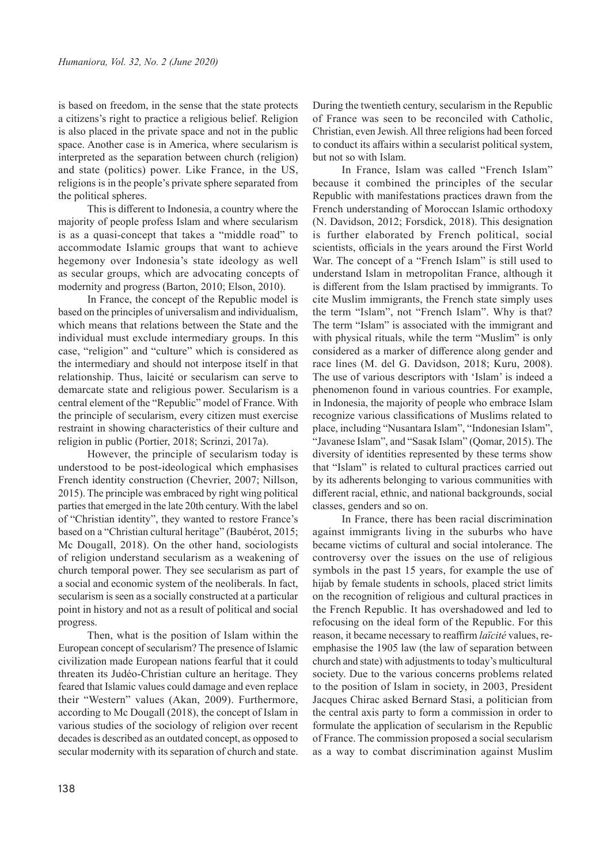is based on freedom, in the sense that the state protects a citizens's right to practice a religious belief. Religion is also placed in the private space and not in the public space. Another case is in America, where secularism is interpreted as the separation between church (religion) and state (politics) power. Like France, in the US, religions is in the people's private sphere separated from the political spheres.

This is different to Indonesia, a country where the majority of people profess Islam and where secularism is as a quasi-concept that takes a "middle road" to accommodate Islamic groups that want to achieve hegemony over Indonesia's state ideology as well as secular groups, which are advocating concepts of modernity and progress (Barton, 2010; Elson, 2010).

In France, the concept of the Republic model is based on the principles of universalism and individualism, which means that relations between the State and the individual must exclude intermediary groups. In this case, "religion" and "culture" which is considered as the intermediary and should not interpose itself in that relationship. Thus, laicité or secularism can serve to demarcate state and religious power. Secularism is a central element of the "Republic" model of France. With the principle of secularism, every citizen must exercise restraint in showing characteristics of their culture and religion in public (Portier, 2018; Scrinzi, 2017a).

However, the principle of secularism today is understood to be post-ideological which emphasises French identity construction (Chevrier, 2007; Nillson, 2015). The principle was embraced by right wing political parties that emerged in the late 20th century. With the label of "Christian identity", they wanted to restore France's based on a "Christian cultural heritage" (Baubérot, 2015; Mc Dougall, 2018). On the other hand, sociologists of religion understand secularism as a weakening of church temporal power. They see secularism as part of a social and economic system of the neoliberals. In fact, secularism is seen as a socially constructed at a particular point in history and not as a result of political and social progress.

Then, what is the position of Islam within the European concept of secularism? The presence of Islamic civilization made European nations fearful that it could threaten its Judéo-Christian culture an heritage. They feared that Islamic values could damage and even replace their "Western" values (Akan, 2009). Furthermore, according to Mc Dougall (2018), the concept of Islam in various studies of the sociology of religion over recent decades is described as an outdated concept, as opposed to secular modernity with its separation of church and state.

During the twentieth century, secularism in the Republic of France was seen to be reconciled with Catholic, Christian, even Jewish. All three religions had been forced to conduct its affairs within a secularist political system, but not so with Islam.

In France, Islam was called "French Islam" because it combined the principles of the secular Republic with manifestations practices drawn from the French understanding of Moroccan Islamic orthodoxy (N. Davidson, 2012; Forsdick, 2018). This designation is further elaborated by French political, social scientists, officials in the years around the First World War. The concept of a "French Islam" is still used to understand Islam in metropolitan France, although it is different from the Islam practised by immigrants. To cite Muslim immigrants, the French state simply uses the term "Islam", not "French Islam". Why is that? The term "Islam" is associated with the immigrant and with physical rituals, while the term "Muslim" is only considered as a marker of difference along gender and race lines (M. del G. Davidson, 2018; Kuru, 2008). The use of various descriptors with 'Islam' is indeed a phenomenon found in various countries. For example, in Indonesia, the majority of people who embrace Islam recognize various classifications of Muslims related to place, including "Nusantara Islam", "Indonesian Islam", "Javanese Islam", and "Sasak Islam" (Qomar, 2015). The diversity of identities represented by these terms show that "Islam" is related to cultural practices carried out by its adherents belonging to various communities with different racial, ethnic, and national backgrounds, social classes, genders and so on.

In France, there has been racial discrimination against immigrants living in the suburbs who have became victims of cultural and social intolerance. The controversy over the issues on the use of religious symbols in the past 15 years, for example the use of hijab by female students in schools, placed strict limits on the recognition of religious and cultural practices in the French Republic. It has overshadowed and led to refocusing on the ideal form of the Republic. For this reason, it became necessary to reaffirm *laïcité* values, reemphasise the 1905 law (the law of separation between church and state) with adjustments to today's multicultural society. Due to the various concerns problems related to the position of Islam in society, in 2003, President Jacques Chirac asked Bernard Stasi, a politician from the central axis party to form a commission in order to formulate the application of secularism in the Republic of France. The commission proposed a social secularism as a way to combat discrimination against Muslim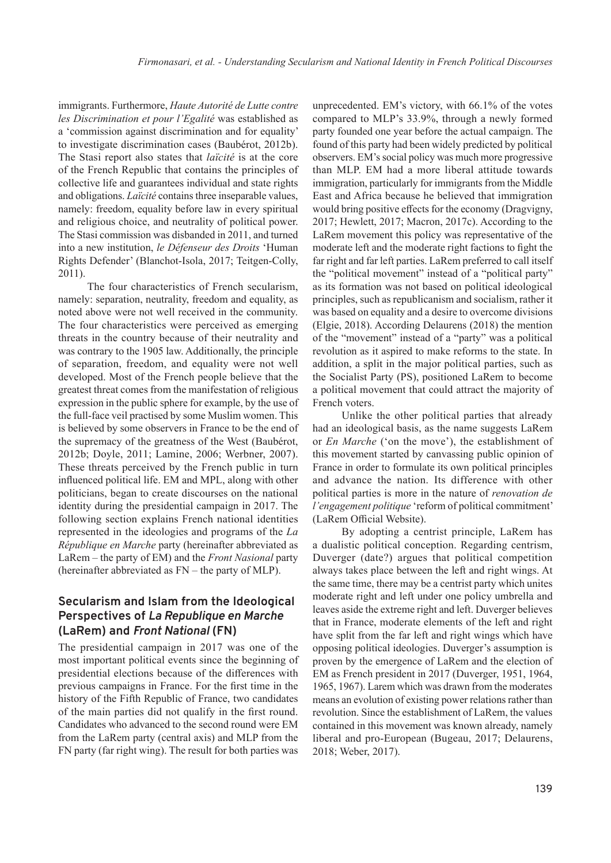immigrants. Furthermore, *Haute Autorité de Lutte contre les Discrimination et pour l'Egalité* was established as a 'commission against discrimination and for equality' to investigate discrimination cases (Baubérot, 2012b). The Stasi report also states that *laïcité* is at the core of the French Republic that contains the principles of collective life and guarantees individual and state rights and obligations. *Laïcité* contains three inseparable values, namely: freedom, equality before law in every spiritual and religious choice, and neutrality of political power. The Stasi commission was disbanded in 2011, and turned into a new institution, *le Défenseur des Droits* 'Human Rights Defender' (Blanchot-Isola, 2017; Teitgen-Colly, 2011).

The four characteristics of French secularism, namely: separation, neutrality, freedom and equality, as noted above were not well received in the community. The four characteristics were perceived as emerging threats in the country because of their neutrality and was contrary to the 1905 law. Additionally, the principle of separation, freedom, and equality were not well developed. Most of the French people believe that the greatest threat comes from the manifestation of religious expression in the public sphere for example, by the use of the full-face veil practised by some Muslim women. This is believed by some observers in France to be the end of the supremacy of the greatness of the West (Baubérot, 2012b; Doyle, 2011; Lamine, 2006; Werbner, 2007). These threats perceived by the French public in turn influenced political life. EM and MPL, along with other politicians, began to create discourses on the national identity during the presidential campaign in 2017. The following section explains French national identities represented in the ideologies and programs of the *La République en Marche* party (hereinafter abbreviated as LaRem *–* the party of EM) and the *Front Nasional* party (hereinafter abbreviated as FN *–* the party of MLP).

### **Secularism and Islam from the Ideological Perspectives of** *La Republique en Marche* **(LaRem) and** *Front National* **(FN)**

The presidential campaign in 2017 was one of the most important political events since the beginning of presidential elections because of the differences with previous campaigns in France. For the first time in the history of the Fifth Republic of France, two candidates of the main parties did not qualify in the first round. Candidates who advanced to the second round were EM from the LaRem party (central axis) and MLP from the FN party (far right wing). The result for both parties was

unprecedented. EM's victory, with 66.1% of the votes compared to MLP's 33.9%, through a newly formed party founded one year before the actual campaign. The found of this party had been widely predicted by political observers. EM's social policy was much more progressive than MLP. EM had a more liberal attitude towards immigration, particularly for immigrants from the Middle East and Africa because he believed that immigration would bring positive effects for the economy (Dragvigny, 2017; Hewlett, 2017; Macron, 2017c). According to the LaRem movement this policy was representative of the moderate left and the moderate right factions to fight the far right and far left parties. LaRem preferred to call itself the "political movement" instead of a "political party" as its formation was not based on political ideological principles, such as republicanism and socialism, rather it was based on equality and a desire to overcome divisions (Elgie, 2018). According Delaurens (2018) the mention of the "movement" instead of a "party" was a political revolution as it aspired to make reforms to the state. In addition, a split in the major political parties, such as the Socialist Party (PS), positioned LaRem to become a political movement that could attract the majority of French voters.

Unlike the other political parties that already had an ideological basis, as the name suggests LaRem or *En Marche* ('on the move'), the establishment of this movement started by canvassing public opinion of France in order to formulate its own political principles and advance the nation. Its difference with other political parties is more in the nature of *renovation de l'engagement politique* 'reform of political commitment' (LaRem Official Website).

By adopting a centrist principle, LaRem has a dualistic political conception. Regarding centrism, Duverger (date?) argues that political competition always takes place between the left and right wings. At the same time, there may be a centrist party which unites moderate right and left under one policy umbrella and leaves aside the extreme right and left. Duverger believes that in France, moderate elements of the left and right have split from the far left and right wings which have opposing political ideologies. Duverger's assumption is proven by the emergence of LaRem and the election of EM as French president in 2017 (Duverger, 1951, 1964, 1965, 1967). Larem which was drawn from the moderates means an evolution of existing power relations rather than revolution. Since the establishment of LaRem, the values contained in this movement was known already, namely liberal and pro-European (Bugeau, 2017; Delaurens, 2018; Weber, 2017).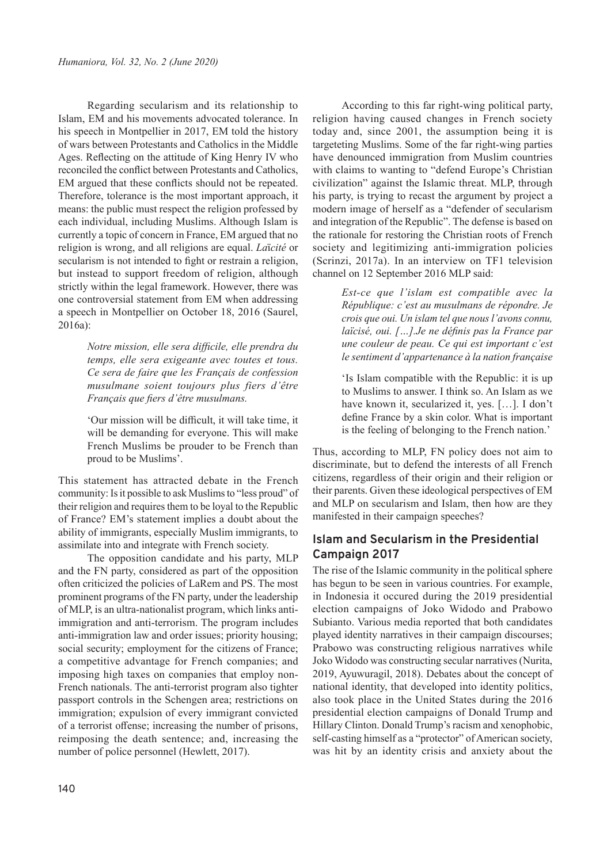Regarding secularism and its relationship to Islam, EM and his movements advocated tolerance. In his speech in Montpellier in 2017, EM told the history of wars between Protestants and Catholics in the Middle Ages. Reflecting on the attitude of King Henry IV who reconciled the conflict between Protestants and Catholics, EM argued that these conflicts should not be repeated. Therefore, tolerance is the most important approach, it means: the public must respect the religion professed by each individual, including Muslims. Although Islam is currently a topic of concern in France, EM argued that no religion is wrong, and all religions are equal. *La*ï*cité* or secularism is not intended to fight or restrain a religion, but instead to support freedom of religion, although strictly within the legal framework. However, there was one controversial statement from EM when addressing a speech in Montpellier on October 18, 2016 (Saurel, 2016a):

> *Notre mission, elle sera difficile, elle prendra du temps, elle sera exigeante avec toutes et tous. Ce sera de faire que les Français de confession musulmane soient toujours plus fiers d'être Français que fiers d'être musulmans.*

> 'Our mission will be difficult, it will take time, it will be demanding for everyone. This will make French Muslims be prouder to be French than proud to be Muslims'.

This statement has attracted debate in the French community: Is it possible to ask Muslims to "less proud" of their religion and requires them to be loyal to the Republic of France? EM's statement implies a doubt about the ability of immigrants, especially Muslim immigrants, to assimilate into and integrate with French society.

The opposition candidate and his party, MLP and the FN party, considered as part of the opposition often criticized the policies of LaRem and PS. The most prominent programs of the FN party, under the leadership of MLP, is an ultra-nationalist program, which links antiimmigration and anti-terrorism. The program includes anti-immigration law and order issues; priority housing; social security; employment for the citizens of France; a competitive advantage for French companies; and imposing high taxes on companies that employ non-French nationals. The anti-terrorist program also tighter passport controls in the Schengen area; restrictions on immigration; expulsion of every immigrant convicted of a terrorist offense; increasing the number of prisons, reimposing the death sentence; and, increasing the number of police personnel (Hewlett, 2017).

According to this far right-wing political party, religion having caused changes in French society today and, since 2001, the assumption being it is targeteting Muslims. Some of the far right-wing parties have denounced immigration from Muslim countries with claims to wanting to "defend Europe's Christian civilization" against the Islamic threat. MLP, through his party, is trying to recast the argument by project a modern image of herself as a "defender of secularism and integration of the Republic". The defense is based on the rationale for restoring the Christian roots of French society and legitimizing anti-immigration policies (Scrinzi, 2017a). In an interview on TF1 television channel on 12 September 2016 MLP said:

> *Est-ce que l'islam est compatible avec la République: c'est au musulmans de répondre. Je crois que oui. Un islam tel que nous l'avons connu, laïcisé, oui. […].Je ne définis pas la France par une couleur de peau. Ce qui est important c'est le sentiment d'appartenance à la nation française*

> 'Is Islam compatible with the Republic: it is up to Muslims to answer. I think so. An Islam as we have known it, secularized it, yes. […]. I don't define France by a skin color. What is important is the feeling of belonging to the French nation.'

Thus, according to MLP, FN policy does not aim to discriminate, but to defend the interests of all French citizens, regardless of their origin and their religion or their parents. Given these ideological perspectives of EM and MLP on secularism and Islam, then how are they manifested in their campaign speeches?

### **Islam and Secularism in the Presidential Campaign 2017**

The rise of the Islamic community in the political sphere has begun to be seen in various countries. For example, in Indonesia it occured during the 2019 presidential election campaigns of Joko Widodo and Prabowo Subianto. Various media reported that both candidates played identity narratives in their campaign discourses; Prabowo was constructing religious narratives while Joko Widodo was constructing secular narratives (Nurita, 2019, Ayuwuragil, 2018). Debates about the concept of national identity, that developed into identity politics, also took place in the United States during the 2016 presidential election campaigns of Donald Trump and Hillary Clinton. Donald Trump's racism and xenophobic, self-casting himself as a "protector" of American society, was hit by an identity crisis and anxiety about the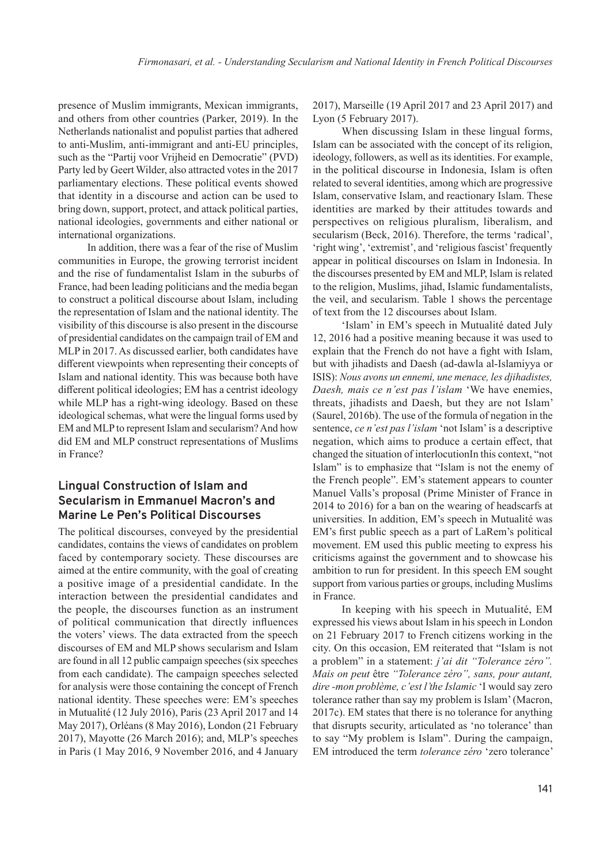presence of Muslim immigrants, Mexican immigrants, and others from other countries (Parker, 2019). In the Netherlands nationalist and populist parties that adhered to anti-Muslim, anti-immigrant and anti-EU principles, such as the "Partij voor Vrijheid en Democratie" (PVD) Party led by Geert Wilder, also attracted votes in the 2017 parliamentary elections. These political events showed that identity in a discourse and action can be used to bring down, support, protect, and attack political parties, national ideologies, governments and either national or international organizations.

In addition, there was a fear of the rise of Muslim communities in Europe, the growing terrorist incident and the rise of fundamentalist Islam in the suburbs of France, had been leading politicians and the media began to construct a political discourse about Islam, including the representation of Islam and the national identity. The visibility of this discourse is also present in the discourse of presidential candidates on the campaign trail of EM and MLP in 2017. As discussed earlier, both candidates have different viewpoints when representing their concepts of Islam and national identity. This was because both have different political ideologies; EM has a centrist ideology while MLP has a right-wing ideology. Based on these ideological schemas, what were the lingual forms used by EM and MLP to represent Islam and secularism? And how did EM and MLP construct representations of Muslims in France?

# **Lingual Construction of Islam and Secularism in Emmanuel Macron's and Marine Le Pen's Political Discourses**

The political discourses, conveyed by the presidential candidates, contains the views of candidates on problem faced by contemporary society. These discourses are aimed at the entire community, with the goal of creating a positive image of a presidential candidate. In the interaction between the presidential candidates and the people, the discourses function as an instrument of political communication that directly influences the voters' views. The data extracted from the speech discourses of EM and MLP shows secularism and Islam are found in all 12 public campaign speeches (six speeches from each candidate). The campaign speeches selected for analysis were those containing the concept of French national identity. These speeches were: EM's speeches in Mutualité (12 July 2016), Paris (23 April 2017 and 14 May 2017), Orléans (8 May 2016), London (21 February 2017), Mayotte (26 March 2016); and, MLP's speeches in Paris (1 May 2016, 9 November 2016, and 4 January

2017), Marseille (19 April 2017 and 23 April 2017) and Lyon (5 February 2017).

When discussing Islam in these lingual forms, Islam can be associated with the concept of its religion, ideology, followers, as well as its identities. For example, in the political discourse in Indonesia, Islam is often related to several identities, among which are progressive Islam, conservative Islam, and reactionary Islam. These identities are marked by their attitudes towards and perspectives on religious pluralism, liberalism, and secularism (Beck, 2016). Therefore, the terms 'radical', 'right wing', 'extremist', and 'religious fascist' frequently appear in political discourses on Islam in Indonesia. In the discourses presented by EM and MLP, Islam is related to the religion, Muslims, jihad, Islamic fundamentalists, the veil, and secularism. Table 1 shows the percentage of text from the 12 discourses about Islam.

'Islam' in EM's speech in Mutualité dated July 12, 2016 had a positive meaning because it was used to explain that the French do not have a fight with Islam, but with jihadists and Daesh (ad-dawla al-Islamiyya or ISIS): *Nous avons un ennemi, une menace, les djihadistes, Daesh, mais ce n'est pas l'islam* 'We have enemies, threats, jihadists and Daesh, but they are not Islam' (Saurel, 2016b). The use of the formula of negation in the sentence, *ce n'est pas l'islam* 'not Islam' is a descriptive negation, which aims to produce a certain effect, that changed the situation of interlocutionIn this context, "not Islam" is to emphasize that "Islam is not the enemy of the French people". EM's statement appears to counter Manuel Valls's proposal (Prime Minister of France in 2014 to 2016) for a ban on the wearing of headscarfs at universities. In addition, EM's speech in Mutualité was EM's first public speech as a part of LaRem's political movement. EM used this public meeting to express his criticisms against the government and to showcase his ambition to run for president. In this speech EM sought support from various parties or groups, including Muslims in France.

In keeping with his speech in Mutualité, EM expressed his views about Islam in his speech in London on 21 February 2017 to French citizens working in the city. On this occasion, EM reiterated that "Islam is not a problem" in a statement: *j'ai dit "Tolerance zéro". Mais on peut* être *"Tolerance zéro", sans, pour autant, dire -mon problème, c'est l'the Islamic* 'I would say zero tolerance rather than say my problem is Islam' (Macron, 2017c). EM states that there is no tolerance for anything that disrupts security, articulated as 'no tolerance' than to say "My problem is Islam". During the campaign, EM introduced the term *tolerance zéro* 'zero tolerance'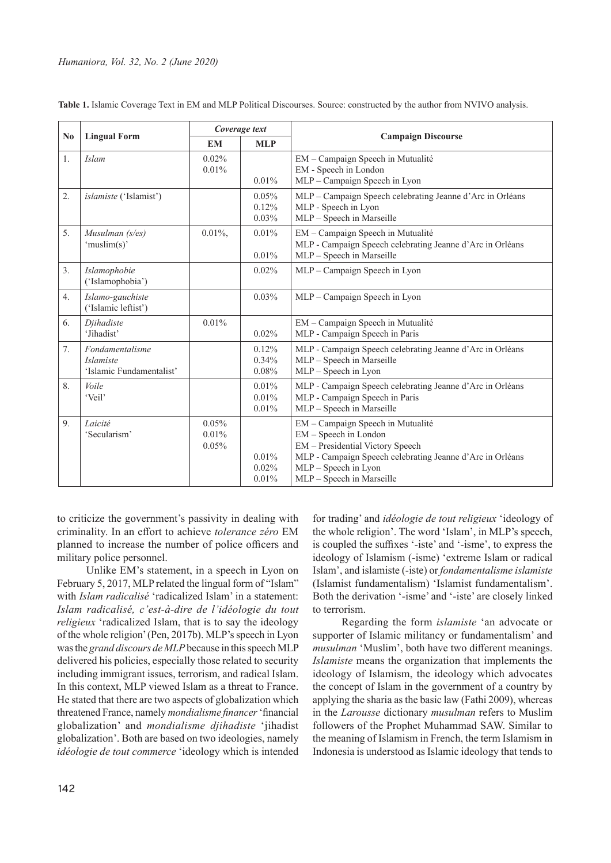| $\mathbf{N}\mathbf{0}$ | <b>Lingual Form</b>                                             | Coverage text              |                               |                                                                                                                                                                                                                  |
|------------------------|-----------------------------------------------------------------|----------------------------|-------------------------------|------------------------------------------------------------------------------------------------------------------------------------------------------------------------------------------------------------------|
|                        |                                                                 | <b>EM</b>                  | <b>MLP</b>                    | <b>Campaign Discourse</b>                                                                                                                                                                                        |
| 1.                     | <b>Islam</b>                                                    | 0.02%<br>0.01%             | 0.01%                         | EM - Campaign Speech in Mutualité<br>EM - Speech in London<br>MLP - Campaign Speech in Lyon                                                                                                                      |
| 2.                     | islamiste ('Islamist')                                          |                            | 0.05%<br>0.12%<br>0.03%       | MLP - Campaign Speech celebrating Jeanne d'Arc in Orléans<br>MLP - Speech in Lyon<br>MLP - Speech in Marseille                                                                                                   |
| 5.                     | Musulman (s/es)<br>'muslim(s)'                                  | $0.01\%$ ,                 | 0.01%<br>0.01%                | EM – Campaign Speech in Mutualité<br>MLP - Campaign Speech celebrating Jeanne d'Arc in Orléans<br>MLP - Speech in Marseille                                                                                      |
| 3.                     | Islamophobie<br>('Islamophobia')                                |                            | $0.02\%$                      | MLP - Campaign Speech in Lyon                                                                                                                                                                                    |
| 4.                     | Islamo-gauchiste<br>('Islamic leftist')                         |                            | 0.03%                         | MLP - Campaign Speech in Lyon                                                                                                                                                                                    |
| 6.                     | Diihadiste<br>'Jihadist'                                        | 0.01%                      | $0.02\%$                      | EM - Campaign Speech in Mutualité<br>MLP - Campaign Speech in Paris                                                                                                                                              |
| 7.                     | Fondamentalisme<br><i>Islamiste</i><br>'Islamic Fundamentalist' |                            | 0.12%<br>0.34%<br>0.08%       | MLP - Campaign Speech celebrating Jeanne d'Arc in Orléans<br>MLP - Speech in Marseille<br>MLP - Speech in Lyon                                                                                                   |
| 8.                     | Voile<br>'Veil'                                                 |                            | $0.01\%$<br>$0.01\%$<br>0.01% | MLP - Campaign Speech celebrating Jeanne d'Arc in Orléans<br>MLP - Campaign Speech in Paris<br>MLP - Speech in Marseille                                                                                         |
| 9.                     | Laicité<br>'Secularism'                                         | $0.05\%$<br>0.01%<br>0.05% | 0.01%<br>0.02%<br>0.01%       | EM - Campaign Speech in Mutualité<br>EM - Speech in London<br>EM - Presidential Victory Speech<br>MLP - Campaign Speech celebrating Jeanne d'Arc in Orléans<br>MLP - Speech in Lyon<br>MLP - Speech in Marseille |

**Table 1.** Islamic Coverage Text in EM and MLP Political Discourses. Source: constructed by the author from NVIVO analysis.

to criticize the government's passivity in dealing with criminality. In an effort to achieve *tolerance zéro* EM planned to increase the number of police officers and military police personnel.

Unlike EM's statement, in a speech in Lyon on February 5, 2017, MLP related the lingual form of "Islam" with *Islam radicalisé* 'radicalized Islam' in a statement: *Islam radicalisé, c'est-à-dire de l'idéologie du tout religieux* 'radicalized Islam, that is to say the ideology of the whole religion' (Pen, 2017b). MLP's speech in Lyon was the *grand discours de MLP* because in this speech MLP delivered his policies, especially those related to security including immigrant issues, terrorism, and radical Islam. In this context, MLP viewed Islam as a threat to France. He stated that there are two aspects of globalization which threatened France, namely *mondialisme financer* 'financial globalization' and *mondialisme djihadiste* 'jihadist globalization'. Both are based on two ideologies, namely *idéologie de tout commerce* 'ideology which is intended

for trading' and *idéologie de tout religieux* 'ideology of the whole religion'. The word 'Islam', in MLP's speech, is coupled the suffixes '-iste' and '-isme', to express the ideology of Islamism (-isme) 'extreme Islam or radical Islam', and islamiste (-iste) or *fondamentalisme islamiste* (Islamist fundamentalism) 'Islamist fundamentalism'. Both the derivation '-isme' and '-iste' are closely linked to terrorism.

Regarding the form *islamiste* 'an advocate or supporter of Islamic militancy or fundamentalism' and *musulman* 'Muslim', both have two different meanings. *Islamiste* means the organization that implements the ideology of Islamism, the ideology which advocates the concept of Islam in the government of a country by applying the sharia as the basic law (Fathi 2009), whereas in the *Larousse* dictionary *musulman* refers to Muslim followers of the Prophet Muhammad SAW. Similar to the meaning of Islamism in French, the term Islamism in Indonesia is understood as Islamic ideology that tends to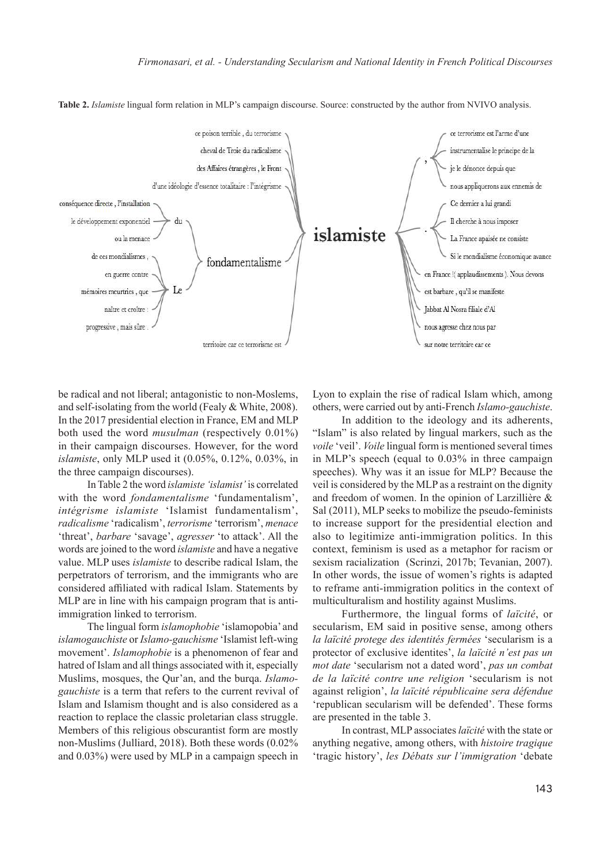**Table 2.** *Islamiste* lingual form relation in MLP's campaign discourse. Source: constructed by the author from NVIVO analysis.



be radical and not liberal; antagonistic to non-Moslems, and self-isolating from the world (Fealy & White, 2008). In the 2017 presidential election in France, EM and MLP both used the word *musulman* (respectively 0.01%) in their campaign discourses. However, for the word *islamiste*, only MLP used it (0.05%, 0.12%, 0.03%, in the three campaign discourses).

In Table 2 the word *islamiste 'islamist'* is correlated with the word *fondamentalisme* 'fundamentalism', *intégrisme islamiste* 'Islamist fundamentalism', *radicalisme* 'radicalism', *terrorisme* 'terrorism', *menace* 'threat', *barbare* 'savage', *agresser* 'to attack'. All the words are joined to the word *islamiste* and have a negative value. MLP uses *islamiste* to describe radical Islam, the perpetrators of terrorism, and the immigrants who are considered affiliated with radical Islam. Statements by MLP are in line with his campaign program that is antiimmigration linked to terrorism.

The lingual form *islamophobie* 'islamopobia' and *islamogauchiste* or *Islamo-gauchisme* 'Islamist left-wing movement'. *Islamophobie* is a phenomenon of fear and hatred of Islam and all things associated with it, especially Muslims, mosques, the Qur'an, and the burqa. *Islamogauchiste* is a term that refers to the current revival of Islam and Islamism thought and is also considered as a reaction to replace the classic proletarian class struggle. Members of this religious obscurantist form are mostly non-Muslims (Julliard, 2018). Both these words (0.02% and 0.03%) were used by MLP in a campaign speech in

Lyon to explain the rise of radical Islam which, among others, were carried out by anti-French *Islamo-gauchiste*.

In addition to the ideology and its adherents, "Islam" is also related by lingual markers, such as the *voile* 'veil'. *Voile* lingual form is mentioned several times in MLP's speech (equal to 0.03% in three campaign speeches). Why was it an issue for MLP? Because the veil is considered by the MLP as a restraint on the dignity and freedom of women. In the opinion of Larzillière & Sal (2011), MLP seeks to mobilize the pseudo-feminists to increase support for the presidential election and also to legitimize anti-immigration politics. In this context, feminism is used as a metaphor for racism or sexism racialization (Scrinzi, 2017b; Tevanian, 2007). In other words, the issue of women's rights is adapted to reframe anti-immigration politics in the context of multiculturalism and hostility against Muslims.

Furthermore, the lingual forms of *laïcité*, or secularism, EM said in positive sense, among others *la laïcité protege des identités fermées* 'secularism is a protector of exclusive identites', *la laïcité n'est pas un mot date* 'secularism not a dated word', *pas un combat de la laïcité contre une religion* 'secularism is not against religion', *la laïcité républicaine sera défendue* 'republican secularism will be defended'. These forms are presented in the table 3.

In contrast, MLP associates *laïcité* with the state or anything negative, among others, with *histoire tragique* 'tragic history', *les Débats sur l'immigration* 'debate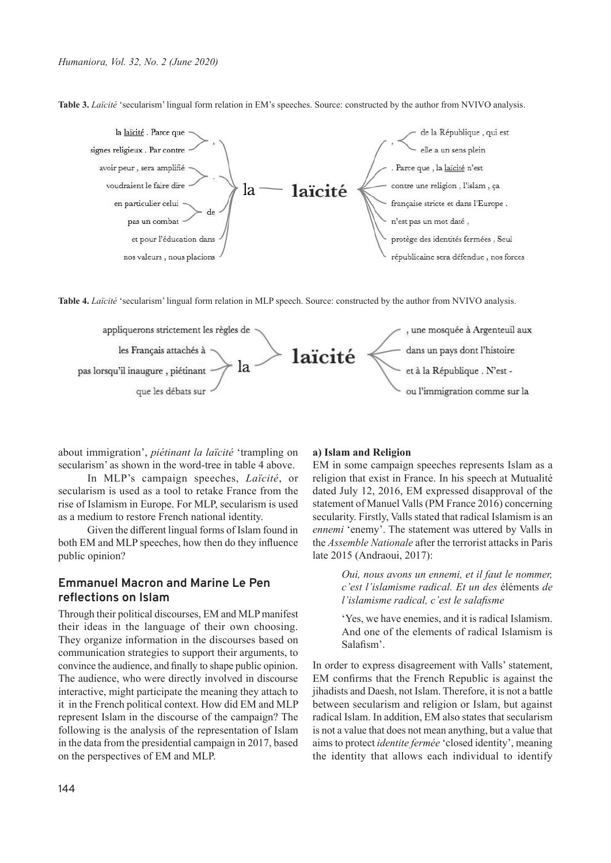**Table 3.** *Laïcité* 'secularism' lingual form relation in EM's speeches. Source: constructed by the author from NVIVO analysis.



**Table 4.** *Laïcité* 'secularism' lingual form relation in MLP speech. Source: constructed by the author from NVIVO analysis.



about immigration', *piétinant la laïcité* 'trampling on secularism' as shown in the word-tree in table 4 above.

In MLP's campaign speeches, *Laïcité*, or secularism is used as a tool to retake France from the rise of Islamism in Europe. For MLP, secularism is used as a medium to restore French national identity.

Given the different lingual forms of Islam found in both EM and MLP speeches, how then do they influence public opinion?

# **Emmanuel Macron and Marine Le Pen reflections on Islam**

Through their political discourses, EM and MLP manifest their ideas in the language of their own choosing. They organize information in the discourses based on communication strategies to support their arguments, to convince the audience, and finally to shape public opinion. The audience, who were directly involved in discourse interactive, might participate the meaning they attach to it in the French political context. How did EM and MLP represent Islam in the discourse of the campaign? The following is the analysis of the representation of Islam in the data from the presidential campaign in 2017, based on the perspectives of EM and MLP.

#### **a) Islam and Religion**

EM in some campaign speeches represents Islam as a religion that exist in France. In his speech at Mutualité dated July 12, 2016, EM expressed disapproval of the statement of Manuel Valls (PM France 2016) concerning secularity. Firstly, Valls stated that radical Islamism is an *ennemi* 'enemy'. The statement was uttered by Valls in the *Assemble Nationale* after the terrorist attacks in Paris late 2015 (Andraoui, 2017):

> *Oui, nous avons un ennemi, et il faut le nommer, c'est l'islamisme radical. Et un des* éléments *de l'islamisme radical, c'est le salafisme*

> 'Yes, we have enemies, and it is radical Islamism. And one of the elements of radical Islamism is Salafism'.

In order to express disagreement with Valls' statement, EM confirms that the French Republic is against the jihadists and Daesh, not Islam. Therefore, it is not a battle between secularism and religion or Islam, but against radical Islam. In addition, EM also states that secularism is not a value that does not mean anything, but a value that aims to protect *identite fermée* 'closed identity', meaning the identity that allows each individual to identify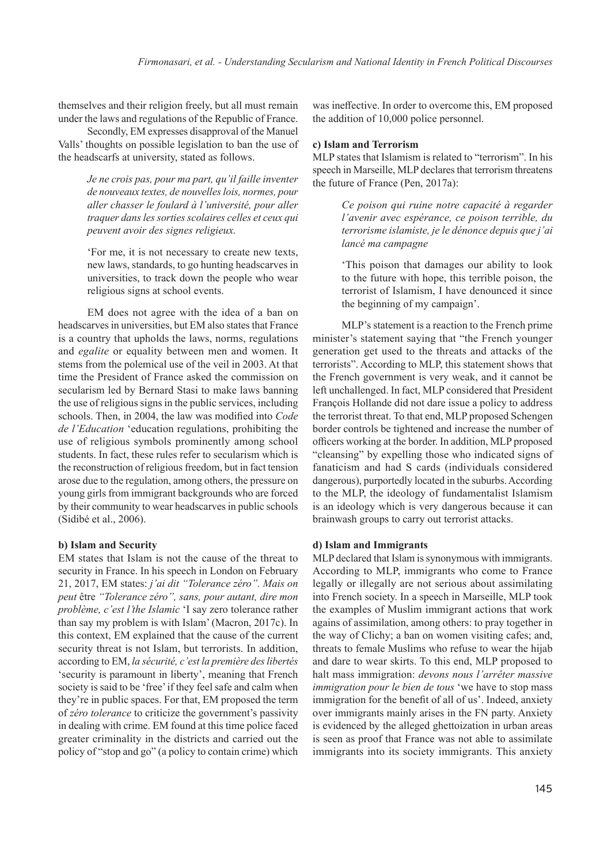themselves and their religion freely, but all must remain under the laws and regulations of the Republic of France.

Secondly, EM expresses disapproval of the Manuel Valls' thoughts on possible legislation to ban the use of the headscarfs at university, stated as follows.

> *Je ne crois pas, pour ma part, qu'il faille inventer de nouveaux textes, de nouvelles lois, normes, pour aller chasser le foulard à l'université, pour aller traquer dans les sorties scolaires celles et ceux qui peuvent avoir des signes religieux.*

> 'For me, it is not necessary to create new texts, new laws, standards, to go hunting headscarves in universities, to track down the people who wear religious signs at school events.

EM does not agree with the idea of a ban on headscarves in universities, but EM also states that France is a country that upholds the laws, norms, regulations and *egalite* or equality between men and women. It stems from the polemical use of the veil in 2003. At that time the President of France asked the commission on secularism led by Bernard Stasi to make laws banning the use of religious signs in the public services, including schools. Then, in 2004, the law was modified into *Code de l'Education* 'education regulations, prohibiting the use of religious symbols prominently among school students. In fact, these rules refer to secularism which is the reconstruction of religious freedom, but in fact tension arose due to the regulation, among others, the pressure on young girls from immigrant backgrounds who are forced by their community to wear headscarves in public schools (Sidibé et al., 2006).

#### **b) Islam and Security**

EM states that Islam is not the cause of the threat to security in France. In his speech in London on February 21, 2017, EM states: *j'ai dit "Tolerance zéro". Mais on peut* être *"Tolerance zéro", sans, pour autant, dire mon problème, c'est l'the Islamic* 'I say zero tolerance rather than say my problem is with Islam' (Macron, 2017c). In this context, EM explained that the cause of the current security threat is not Islam, but terrorists. In addition, according to EM, *la sécurité, c'est la première des libertés* 'security is paramount in liberty', meaning that French society is said to be 'free' if they feel safe and calm when they're in public spaces. For that, EM proposed the term of *zéro tolerance* to criticize the government's passivity in dealing with crime. EM found at this time police faced greater criminality in the districts and carried out the policy of "stop and go" (a policy to contain crime) which

was ineffective. In order to overcome this, EM proposed the addition of 10,000 police personnel.

#### **c) Islam and Terrorism**

MLP states that Islamism is related to "terrorism". In his speech in Marseille, MLP declares that terrorism threatens the future of France (Pen, 2017a):

> *Ce poison qui ruine notre capacité à regarder l'avenir avec espérance, ce poison terrible, du terrorisme islamiste, je le dénonce depuis que j'ai lancé ma campagne*

> 'This poison that damages our ability to look to the future with hope, this terrible poison, the terrorist of Islamism, I have denounced it since the beginning of my campaign'.

MLP's statement is a reaction to the French prime minister's statement saying that "the French younger generation get used to the threats and attacks of the terrorists". According to MLP, this statement shows that the French government is very weak, and it cannot be left unchallenged. In fact, MLP considered that President François Hollande did not dare issue a policy to address the terrorist threat. To that end, MLP proposed Schengen border controls be tightened and increase the number of officers working at the border. In addition, MLP proposed "cleansing" by expelling those who indicated signs of fanaticism and had S cards (individuals considered dangerous), purportedly located in the suburbs. According to the MLP, the ideology of fundamentalist Islamism is an ideology which is very dangerous because it can brainwash groups to carry out terrorist attacks.

#### **d) Islam and Immigrants**

MLP declared that Islam is synonymous with immigrants. According to MLP, immigrants who come to France legally or illegally are not serious about assimilating into French society. In a speech in Marseille, MLP took the examples of Muslim immigrant actions that work agains of assimilation, among others: to pray together in the way of Clichy; a ban on women visiting cafes; and, threats to female Muslims who refuse to wear the hijab and dare to wear skirts. To this end, MLP proposed to halt mass immigration: *devons nous l'arrêter massive immigration pour le bien de tous* 'we have to stop mass immigration for the benefit of all of us'. Indeed, anxiety over immigrants mainly arises in the FN party. Anxiety is evidenced by the alleged ghettoization in urban areas is seen as proof that France was not able to assimilate immigrants into its society immigrants. This anxiety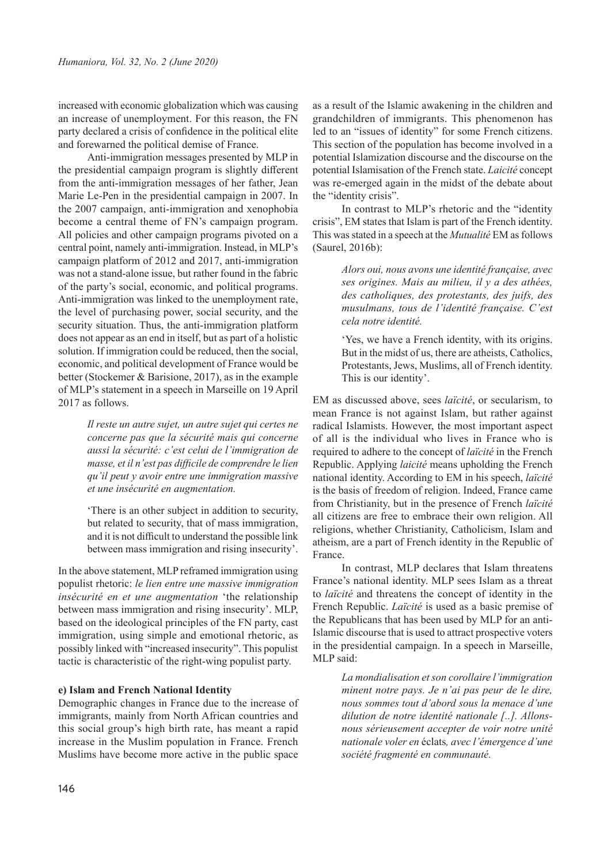increased with economic globalization which was causing an increase of unemployment. For this reason, the FN party declared a crisis of confidence in the political elite and forewarned the political demise of France.

Anti-immigration messages presented by MLP in the presidential campaign program is slightly different from the anti-immigration messages of her father, Jean Marie Le-Pen in the presidential campaign in 2007. In the 2007 campaign, anti-immigration and xenophobia become a central theme of FN's campaign program. All policies and other campaign programs pivoted on a central point, namely anti-immigration. Instead, in MLP's campaign platform of 2012 and 2017, anti-immigration was not a stand-alone issue, but rather found in the fabric of the party's social, economic, and political programs. Anti-immigration was linked to the unemployment rate, the level of purchasing power, social security, and the security situation. Thus, the anti-immigration platform does not appear as an end in itself, but as part of a holistic solution. If immigration could be reduced, then the social, economic, and political development of France would be better (Stockemer & Barisione, 2017), as in the example of MLP's statement in a speech in Marseille on 19 April 2017 as follows.

> *Il reste un autre sujet, un autre sujet qui certes ne concerne pas que la sécurité mais qui concerne aussi la sécurité: c'est celui de l'immigration de masse, et il n'est pas difficile de comprendre le lien qu'il peut y avoir entre une immigration massive et une insécurité en augmentation.*

> 'There is an other subject in addition to security, but related to security, that of mass immigration, and it is not difficult to understand the possible link between mass immigration and rising insecurity'.

In the above statement, MLP reframed immigration using populist rhetoric: *le lien entre une massive immigration insécurité en et une augmentation* 'the relationship between mass immigration and rising insecurity'. MLP, based on the ideological principles of the FN party, cast immigration, using simple and emotional rhetoric, as possibly linked with "increased insecurity". This populist tactic is characteristic of the right-wing populist party.

#### **e) Islam and French National Identity**

Demographic changes in France due to the increase of immigrants, mainly from North African countries and this social group's high birth rate, has meant a rapid increase in the Muslim population in France. French Muslims have become more active in the public space

as a result of the Islamic awakening in the children and grandchildren of immigrants. This phenomenon has led to an "issues of identity" for some French citizens. This section of the population has become involved in a potential Islamization discourse and the discourse on the potential Islamisation of the French state. *Laicité* concept was re-emerged again in the midst of the debate about the "identity crisis".

In contrast to MLP's rhetoric and the "identity crisis", EM states that Islam is part of the French identity. This was stated in a speech at the *Mutualité* EM as follows (Saurel, 2016b):

> *Alors oui, nous avons une identité française, avec ses origines. Mais au milieu, il y a des athées, des catholiques, des protestants, des juifs, des musulmans, tous de l'identité française. C'est cela notre identité.*

> 'Yes, we have a French identity, with its origins. But in the midst of us, there are atheists, Catholics, Protestants, Jews, Muslims, all of French identity. This is our identity'.

EM as discussed above, sees *laïcité*, or secularism, to mean France is not against Islam, but rather against radical Islamists. However, the most important aspect of all is the individual who lives in France who is required to adhere to the concept of *laïcité* in the French Republic. Applying *laicité* means upholding the French national identity. According to EM in his speech, *laïcité* is the basis of freedom of religion. Indeed, France came from Christianity, but in the presence of French *laïcité*  all citizens are free to embrace their own religion. All religions, whether Christianity, Catholicism, Islam and atheism, are a part of French identity in the Republic of France.

In contrast, MLP declares that Islam threatens France's national identity. MLP sees Islam as a threat to *laïcité* and threatens the concept of identity in the French Republic. *Laïcité* is used as a basic premise of the Republicans that has been used by MLP for an anti-Islamic discourse that is used to attract prospective voters in the presidential campaign. In a speech in Marseille, MLP said:

> *La mondialisation et son corollaire l'immigration minent notre pays. Je n'ai pas peur de le dire, nous sommes tout d'abord sous la menace d'une dilution de notre identité nationale [..]. Allonsnous sérieusement accepter de voir notre unité nationale voler en* éclats*, avec l'émergence d'une société fragmenté en communauté.*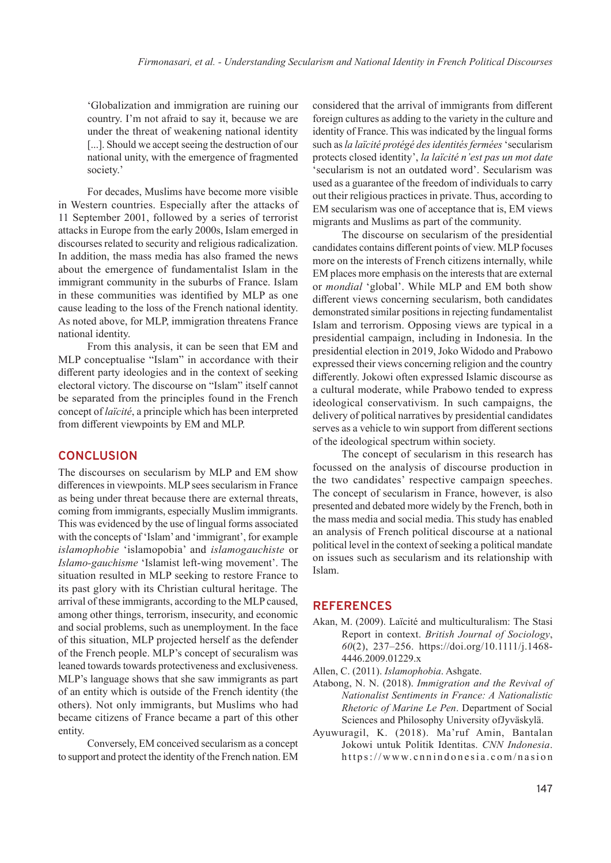'Globalization and immigration are ruining our country. I'm not afraid to say it, because we are under the threat of weakening national identity [...]. Should we accept seeing the destruction of our national unity, with the emergence of fragmented society.'

For decades, Muslims have become more visible in Western countries. Especially after the attacks of 11 September 2001, followed by a series of terrorist attacks in Europe from the early 2000s, Islam emerged in discourses related to security and religious radicalization. In addition, the mass media has also framed the news about the emergence of fundamentalist Islam in the immigrant community in the suburbs of France. Islam in these communities was identified by MLP as one cause leading to the loss of the French national identity. As noted above, for MLP, immigration threatens France national identity.

From this analysis, it can be seen that EM and MLP conceptualise "Islam" in accordance with their different party ideologies and in the context of seeking electoral victory. The discourse on "Islam" itself cannot be separated from the principles found in the French concept of *laïcité*, a principle which has been interpreted from different viewpoints by EM and MLP.

### **CONCLUSION**

The discourses on secularism by MLP and EM show differences in viewpoints. MLP sees secularism in France as being under threat because there are external threats, coming from immigrants, especially Muslim immigrants. This was evidenced by the use of lingual forms associated with the concepts of 'Islam' and 'immigrant', for example *islamophobie* 'islamopobia' and *islamogauchiste* or *Islamo-gauchisme* 'Islamist left-wing movement'. The situation resulted in MLP seeking to restore France to its past glory with its Christian cultural heritage. The arrival of these immigrants, according to the MLP caused, among other things, terrorism, insecurity, and economic and social problems, such as unemployment. In the face of this situation, MLP projected herself as the defender of the French people. MLP's concept of securalism was leaned towards towards protectiveness and exclusiveness. MLP's language shows that she saw immigrants as part of an entity which is outside of the French identity (the others). Not only immigrants, but Muslims who had became citizens of France became a part of this other entity.

Conversely, EM conceived secularism as a concept to support and protect the identity of the French nation. EM

considered that the arrival of immigrants from different foreign cultures as adding to the variety in the culture and identity of France. This was indicated by the lingual forms such as *la laïcité protégé des identités fermées* 'secularism protects closed identity', *la laïcité n'est pas un mot date* 'secularism is not an outdated word'. Secularism was used as a guarantee of the freedom of individuals to carry out their religious practices in private. Thus, according to EM secularism was one of acceptance that is, EM views migrants and Muslims as part of the community.

The discourse on secularism of the presidential candidates contains different points of view. MLP focuses more on the interests of French citizens internally, while EM places more emphasis on the interests that are external or *mondial* 'global'. While MLP and EM both show different views concerning secularism, both candidates demonstrated similar positions in rejecting fundamentalist Islam and terrorism. Opposing views are typical in a presidential campaign, including in Indonesia. In the presidential election in 2019, Joko Widodo and Prabowo expressed their views concerning religion and the country differently. Jokowi often expressed Islamic discourse as a cultural moderate, while Prabowo tended to express ideological conservativism. In such campaigns, the delivery of political narratives by presidential candidates serves as a vehicle to win support from different sections of the ideological spectrum within society.

The concept of secularism in this research has focussed on the analysis of discourse production in the two candidates' respective campaign speeches. The concept of secularism in France, however, is also presented and debated more widely by the French, both in the mass media and social media. This study has enabled an analysis of French political discourse at a national political level in the context of seeking a political mandate on issues such as secularism and its relationship with Islam.

### **REFERENCES**

- Akan, M. (2009). Laïcité and multiculturalism: The Stasi Report in context. *British Journal of Sociology*, *60*(2), 237–256. https://doi.org/10.1111/j.1468- 4446.2009.01229.x
- Allen, C. (2011). *Islamophobia*. Ashgate.
- Atabong, N. N. (2018). *Immigration and the Revival of Nationalist Sentiments in France: A Nationalistic Rhetoric of Marine Le Pen*. Department of Social Sciences and Philosophy University ofJyväskylä.
- Ayuwuragil, K. (2018). Ma'ruf Amin, Bantalan Jokowi untuk Politik Identitas. *CNN Indonesia*. https://www.cnnindonesia.com/nasion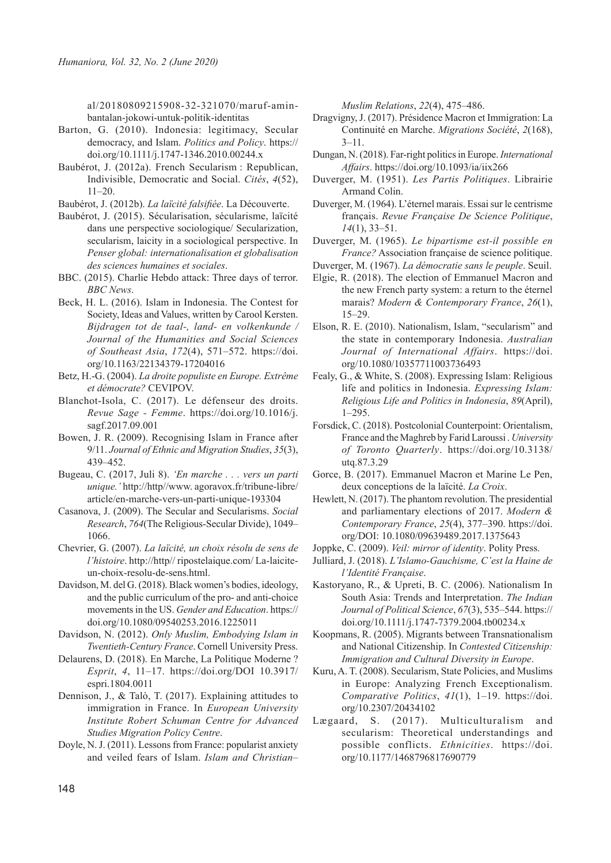al/20180809215908-32-321070/maruf-aminbantalan-jokowi-untuk-politik-identitas

- Barton, G. (2010). Indonesia: legitimacy, Secular democracy, and Islam. *Politics and Policy*. https:// doi.org/10.1111/j.1747-1346.2010.00244.x
- Baubérot, J. (2012a). French Secularism : Republican, Indivisible, Democratic and Social. *Cités*, *4*(52), 11–20.

Baubérot, J. (2012b). *La laïcité falsifiée*. La Découverte.

- Baubérot, J. (2015). Sécularisation, sécularisme, laïcité dans une perspective sociologique/ Secularization, secularism, laicity in a sociological perspective. In *Penser global: internationalisation et globalisation des sciences humaines et sociales*.
- BBC. (2015). Charlie Hebdo attack: Three days of terror. *BBC News*.
- Beck, H. L. (2016). Islam in Indonesia. The Contest for Society, Ideas and Values, written by Carool Kersten. *Bijdragen tot de taal-, land- en volkenkunde / Journal of the Humanities and Social Sciences of Southeast Asia*, *172*(4), 571–572. https://doi. org/10.1163/22134379-17204016
- Betz, H.-G. (2004). *La droite populiste en Europe. Extrême et démocrate?* CEVIPOV.
- Blanchot-Isola, C. (2017). Le défenseur des droits. *Revue Sage - Femme*. https://doi.org/10.1016/j. sagf.2017.09.001
- Bowen, J. R. (2009). Recognising Islam in France after 9/11. *Journal of Ethnic and Migration Studies*, *35*(3), 439–452.
- Bugeau, C. (2017, Juli 8). *'En marche . . . vers un parti unique.'* http://http//www. agoravox.fr/tribune-libre/ article/en-marche-vers-un-parti-unique-193304
- Casanova, J. (2009). The Secular and Secularisms. *Social Research*, *764*(The Religious-Secular Divide), 1049– 1066.
- Chevrier, G. (2007). *La laïcité, un choix résolu de sens de l'histoire*. http://http// ripostelaique.com/ La-laiciteun-choix-resolu-de-sens.html.
- Davidson, M. del G. (2018). Black women's bodies, ideology, and the public curriculum of the pro- and anti-choice movements in the US. *Gender and Education*. https:// doi.org/10.1080/09540253.2016.1225011
- Davidson, N. (2012). *Only Muslim, Embodying Islam in Twentieth-Century France*. Cornell University Press.
- Delaurens, D. (2018). En Marche, La Politique Moderne ? *Esprit*, *4*, 11–17. https://doi.org/DOI 10.3917/ espri.1804.0011
- Dennison, J., & Talò, T. (2017). Explaining attitudes to immigration in France. In *European University Institute Robert Schuman Centre for Advanced Studies Migration Policy Centre*.
- Doyle, N. J. (2011). Lessons from France: popularist anxiety and veiled fears of Islam. *Islam and Christian–*

*Muslim Relations*, *22*(4), 475–486.

- Dragvigny, J. (2017). Présidence Macron et Immigration: La Continuité en Marche. *Migrations Société*, *2*(168),  $3 - 11$ .
- Dungan, N. (2018). Far-right politics in Europe. *International Affairs*. https://doi.org/10.1093/ia/iix266
- Duverger, M. (1951). *Les Partis Politiques*. Librairie Armand Colin.
- Duverger, M. (1964). L'éternel marais. Essai sur le centrisme français. *Revue Française De Science Politique*, *14*(1), 33–51.
- Duverger, M. (1965). *Le bipartisme est-il possible en France?* Association française de science politique.
- Duverger, M. (1967). *La démocratie sans le peuple*. Seuil. Elgie, R. (2018). The election of Emmanuel Macron and the new French party system: a return to the éternel marais? *Modern & Contemporary France*, *26*(1), 15–29.
- Elson, R. E. (2010). Nationalism, Islam, "secularism" and the state in contemporary Indonesia. *Australian Journal of International Affairs*. https://doi. org/10.1080/10357711003736493
- Fealy, G., & White, S. (2008). Expressing Islam: Religious life and politics in Indonesia. *Expressing Islam: Religious Life and Politics in Indonesia*, *89*(April), 1–295.
- Forsdick, C. (2018). Postcolonial Counterpoint: Orientalism, France and the Maghreb by Farid Laroussi . *University of Toronto Quarterly*. https://doi.org/10.3138/ utq.87.3.29
- Gorce, B. (2017). Emmanuel Macron et Marine Le Pen, deux conceptions de la laïcité. *La Croix*.
- Hewlett, N. (2017). The phantom revolution. The presidential and parliamentary elections of 2017. *Modern & Contemporary France*, *25*(4), 377–390. https://doi. org/DOI: 10.1080/09639489.2017.1375643
- Joppke, C. (2009). *Veil: mirror of identity*. Polity Press.
- Julliard, J. (2018). *L'Islamo-Gauchisme, C'est la Haine de l'Identité Française*.
- Kastoryano, R., & Upreti, B. C. (2006). Nationalism In South Asia: Trends and Interpretation. *The Indian Journal of Political Science*, *67*(3), 535–544. https:// doi.org/10.1111/j.1747-7379.2004.tb00234.x
- Koopmans, R. (2005). Migrants between Transnationalism and National Citizenship. In *Contested Citizenship: Immigration and Cultural Diversity in Europe*.
- Kuru, A. T. (2008). Secularism, State Policies, and Muslims in Europe: Analyzing French Exceptionalism. *Comparative Politics*, *41*(1), 1–19. https://doi. org/10.2307/20434102
- Lægaard, S. (2017). Multiculturalism and secularism: Theoretical understandings and possible conflicts. *Ethnicities*. https://doi. org/10.1177/1468796817690779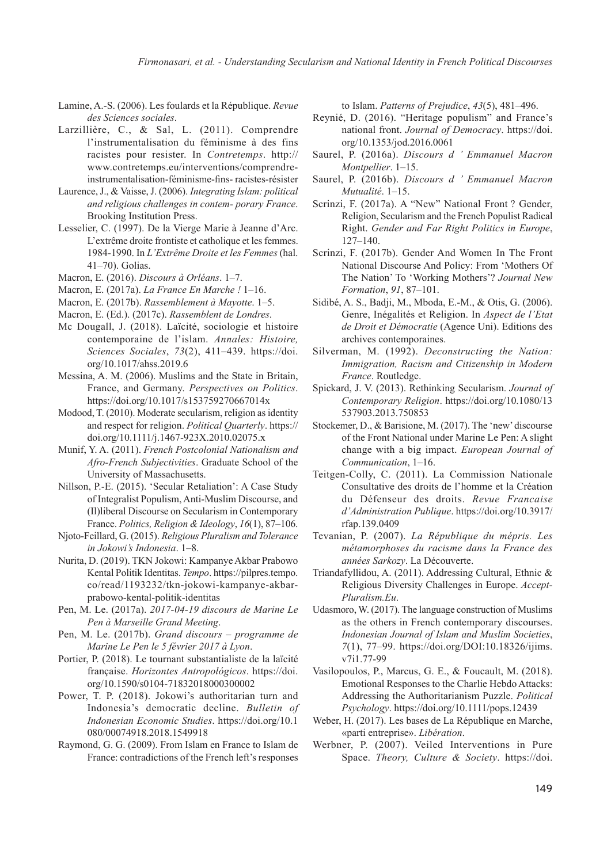*Firmonasari, et al. - Understanding Secularism and National Identity in French Political Discourses*

- Lamine, A.-S. (2006). Les foulards et la République. *Revue des Sciences sociales*.
- Larzillière, C., & Sal, L. (2011). Comprendre l'instrumentalisation du féminisme à des fins racistes pour resister. In *Contretemps*. http:// www.contretemps.eu/interventions/comprendreinstrumentalisation-féminisme-fins- racistes-résister
- Laurence, J., & Vaisse, J. (2006). *Integrating Islam: political and religious challenges in contem- porary France*. Brooking Institution Press.
- Lesselier, C. (1997). De la Vierge Marie à Jeanne d'Arc. L'extrême droite frontiste et catholique et les femmes. 1984-1990. In *L'Extrême Droite et les Femmes* (hal. 41–70). Golias.
- Macron, E. (2016). *Discours à Orléans*. 1–7.
- Macron, E. (2017a). *La France En Marche !* 1–16.
- Macron, E. (2017b). *Rassemblement à Mayotte*. 1–5.
- Macron, E. (Ed.). (2017c). *Rassemblent de Londres*.
- Mc Dougall, J. (2018). Laïcité, sociologie et histoire contemporaine de l'islam. *Annales: Histoire, Sciences Sociales*, *73*(2), 411–439. https://doi. org/10.1017/ahss.2019.6
- Messina, A. M. (2006). Muslims and the State in Britain, France, and Germany. *Perspectives on Politics*. https://doi.org/10.1017/s153759270667014x
- Modood, T. (2010). Moderate secularism, religion as identity and respect for religion. *Political Quarterly*. https:// doi.org/10.1111/j.1467-923X.2010.02075.x
- Munif, Y. A. (2011). *French Postcolonial Nationalism and Afro-French Subjectivities*. Graduate School of the University of Massachusetts.
- Nillson, P.-E. (2015). 'Secular Retaliation': A Case Study of Integralist Populism, Anti-Muslim Discourse, and (Il)liberal Discourse on Secularism in Contemporary France. *Politics, Religion & Ideology*, *16*(1), 87–106.
- Njoto-Feillard, G. (2015). *Religious Pluralism and Tolerance in Jokowi's Indonesia*. 1–8.
- Nurita, D. (2019). TKN Jokowi: Kampanye Akbar Prabowo Kental Politik Identitas. *Tempo*. https://pilpres.tempo. co/read/1193232/tkn-jokowi-kampanye-akbarprabowo-kental-politik-identitas
- Pen, M. Le. (2017a). *2017-04-19 discours de Marine Le Pen à Marseille Grand Meeting*.
- Pen, M. Le. (2017b). *Grand discours programme de Marine Le Pen le 5 février 2017 à Lyon*.
- Portier, P. (2018). Le tournant substantialiste de la laïcité française. *Horizontes Antropológicos*. https://doi. org/10.1590/s0104-71832018000300002
- Power, T. P. (2018). Jokowi's authoritarian turn and Indonesia's democratic decline. *Bulletin of Indonesian Economic Studies*. https://doi.org/10.1 080/00074918.2018.1549918
- Raymond, G. G. (2009). From Islam en France to Islam de France: contradictions of the French left's responses

to Islam. *Patterns of Prejudice*, *43*(5), 481–496.

- Reynié, D. (2016). "Heritage populism" and France's national front. *Journal of Democracy*. https://doi. org/10.1353/jod.2016.0061
- Saurel, P. (2016a). *Discours d ' Emmanuel Macron Montpellier*. 1–15.
- Saurel, P. (2016b). *Discours d ' Emmanuel Macron Mutualité*. 1–15.
- Scrinzi, F. (2017a). A "New" National Front ? Gender, Religion, Secularism and the French Populist Radical Right. *Gender and Far Right Politics in Europe*, 127–140.
- Scrinzi, F. (2017b). Gender And Women In The Front National Discourse And Policy: From 'Mothers Of The Nation' To 'Working Mothers'? *Journal New Formation*, *91*, 87–101.
- Sidibé, A. S., Badji, M., Mboda, E.-M., & Otis, G. (2006). Genre, Inégalités et Religion. In *Aspect de l'Etat de Droit et Démocratie* (Agence Uni). Editions des archives contemporaines.
- Silverman, M. (1992). *Deconstructing the Nation: Immigration, Racism and Citizenship in Modern France*. Routledge.
- Spickard, J. V. (2013). Rethinking Secularism. *Journal of Contemporary Religion*. https://doi.org/10.1080/13 537903.2013.750853
- Stockemer, D., & Barisione, M. (2017). The 'new' discourse of the Front National under Marine Le Pen: A slight change with a big impact. *European Journal of Communication*, 1–16.
- Teitgen-Colly, C. (2011). La Commission Nationale Consultative des droits de l'homme et la Création du Défenseur des droits. *Revue Francaise d'Administration Publique*. https://doi.org/10.3917/ rfap.139.0409
- Tevanian, P. (2007). *La République du mépris. Les métamorphoses du racisme dans la France des années Sarkozy*. La Découverte.
- Triandafyllidou, A. (2011). Addressing Cultural, Ethnic & Religious Diversity Challenges in Europe. *Accept-Pluralism.Eu*.
- Udasmoro, W. (2017). The language construction of Muslims as the others in French contemporary discourses. *Indonesian Journal of Islam and Muslim Societies*, *7*(1), 77–99. https://doi.org/DOI:10.18326/ijims. v7i1.77-99
- Vasilopoulos, P., Marcus, G. E., & Foucault, M. (2018). Emotional Responses to the Charlie Hebdo Attacks: Addressing the Authoritarianism Puzzle. *Political Psychology*. https://doi.org/10.1111/pops.12439
- Weber, H. (2017). Les bases de La République en Marche, «parti entreprise». *Libération*.
- Werbner, P. (2007). Veiled Interventions in Pure Space. *Theory, Culture & Society*. https://doi.